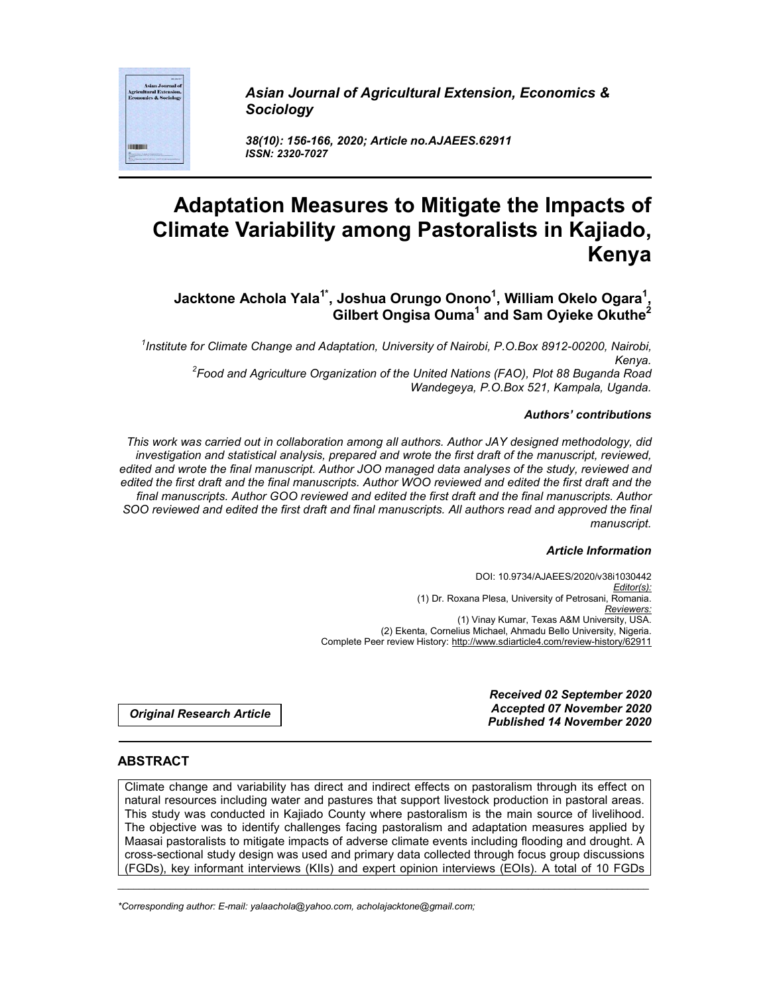*Asian Journal of Agricultural Extension, Economics & Sociology*

*38(10): 156-166, 2020; Article no.AJAEES.62911 ISSN: 2320-7027*

# **Adaptation Measures to Mitigate the Impacts of Climate Variability among Pastoralists in Kajiado, Kenya**

**Jacktone Achola Yala1\* , Joshua Orungo Onono1 , William Okelo Ogara1 , Gilbert Ongisa Ouma<sup>1</sup> and Sam Oyieke Okuthe2**

*1 Institute for Climate Change and Adaptation, University of Nairobi, P.O.Box 8912-00200, Nairobi, Kenya. <sup>2</sup> Food and Agriculture Organization of the United Nations (FAO), Plot 88 Buganda Road Wandegeya, P.O.Box 521, Kampala, Uganda.*

#### *Authors' contributions*

*This work was carried out in collaboration among all authors. Author JAY designed methodology, did investigation and statistical analysis, prepared and wrote the first draft of the manuscript, reviewed, edited and wrote the final manuscript. Author JOO managed data analyses of the study, reviewed and edited the first draft and the final manuscripts. Author WOO reviewed and edited the first draft and the final manuscripts. Author GOO reviewed and edited the first draft and the final manuscripts. Author SOO reviewed and edited the first draft and final manuscripts. All authors read and approved the final manuscript.*

#### *Article Information*

DOI: 10.9734/AJAEES/2020/v38i1030442 *Editor(s):* (1) Dr. Roxana Plesa, University of Petrosani, Romania. *Reviewers:* (1) Vinay Kumar, Texas A&M University, USA. (2) Ekenta, Cornelius Michael, Ahmadu Bello University, Nigeria. Complete Peer review History: http://www.sdiarticle4.com/review-history/62911

*Original Research Article*

*Received 02 September 2020 Accepted 07 November 2020 Published 14 November 2020*

## **ABSTRACT**

Climate change and variability has direct and indirect effects on pastoralism through its effect on natural resources including water and pastures that support livestock production in pastoral areas. This study was conducted in Kajiado County where pastoralism is the main source of livelihood. The objective was to identify challenges facing pastoralism and adaptation measures applied by Maasai pastoralists to mitigate impacts of adverse climate events including flooding and drought. A cross-sectional study design was used and primary data collected through focus group discussions (FGDs), key informant interviews (KIIs) and expert opinion interviews (EOIs). A total of 10 FGDs

\_\_\_\_\_\_\_\_\_\_\_\_\_\_\_\_\_\_\_\_\_\_\_\_\_\_\_\_\_\_\_\_\_\_\_\_\_\_\_\_\_\_\_\_\_\_\_\_\_\_\_\_\_\_\_\_\_\_\_\_\_\_\_\_\_\_\_\_\_\_\_\_\_\_\_\_\_\_\_\_\_\_\_\_\_\_\_\_\_\_\_\_\_\_\_\_\_\_\_\_\_

*\*Corresponding author: E-mail: yalaachola@yahoo.com, acholajacktone@gmail.com;*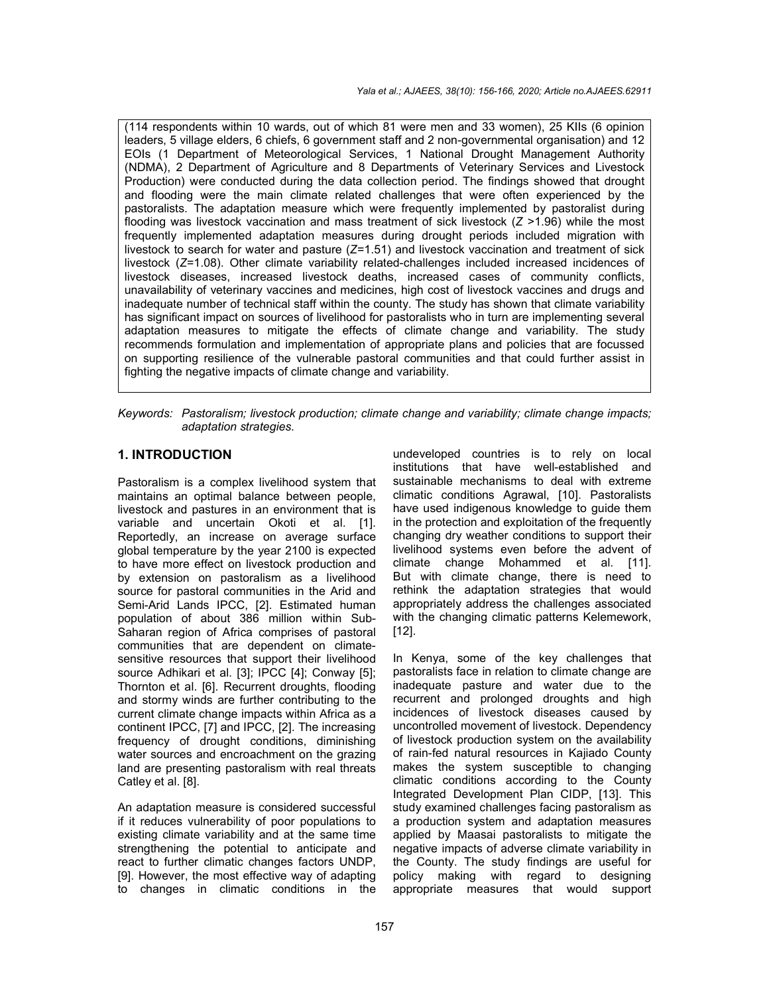(114 respondents within 10 wards, out of which 81 were men and 33 women), 25 KIIs (6 opinion leaders, 5 village elders, 6 chiefs, 6 government staff and 2 non-governmental organisation) and 12 EOIs (1 Department of Meteorological Services, 1 National Drought Management Authority (NDMA), 2 Department of Agriculture and 8 Departments of Veterinary Services and Livestock Production) were conducted during the data collection period. The findings showed that drought and flooding were the main climate related challenges that were often experienced by the pastoralists. The adaptation measure which were frequently implemented by pastoralist during flooding was livestock vaccination and mass treatment of sick livestock (*Z* >1.96) while the most frequently implemented adaptation measures during drought periods included migration with livestock to search for water and pasture (*Z*=1.51) and livestock vaccination and treatment of sick livestock (*Z*=1.08). Other climate variability related-challenges included increased incidences of livestock diseases, increased livestock deaths, increased cases of community conflicts, unavailability of veterinary vaccines and medicines, high cost of livestock vaccines and drugs and inadequate number of technical staff within the county. The study has shown that climate variability has significant impact on sources of livelihood for pastoralists who in turn are implementing several adaptation measures to mitigate the effects of climate change and variability. The study recommends formulation and implementation of appropriate plans and policies that are focussed on supporting resilience of the vulnerable pastoral communities and that could further assist in fighting the negative impacts of climate change and variability.

*Keywords: Pastoralism; livestock production; climate change and variability; climate change impacts; adaptation strategies.*

## **1. INTRODUCTION**

Pastoralism is a complex livelihood system that maintains an optimal balance between people, livestock and pastures in an environment that is variable and uncertain Okoti et al. [1]. Reportedly, an increase on average surface global temperature by the year 2100 is expected to have more effect on livestock production and by extension on pastoralism as a livelihood source for pastoral communities in the Arid and Semi-Arid Lands IPCC, [2]. Estimated human population of about 386 million within Sub-Saharan region of Africa comprises of pastoral communities that are dependent on climatesensitive resources that support their livelihood source Adhikari et al. [3]; IPCC [4]; Conway [5]; Thornton et al. [6]. Recurrent droughts, flooding and stormy winds are further contributing to the current climate change impacts within Africa as a continent IPCC, [7] and IPCC, [2]. The increasing frequency of drought conditions, diminishing water sources and encroachment on the grazing land are presenting pastoralism with real threats Catley et al. [8].

An adaptation measure is considered successful if it reduces vulnerability of poor populations to existing climate variability and at the same time strengthening the potential to anticipate and react to further climatic changes factors UNDP, [9]. However, the most effective way of adapting to changes in climatic conditions in the

undeveloped countries is to rely on local institutions that have well-established and sustainable mechanisms to deal with extreme climatic conditions Agrawal, [10]. Pastoralists have used indigenous knowledge to guide them in the protection and exploitation of the frequently changing dry weather conditions to support their livelihood systems even before the advent of climate change Mohammed et al. [11]. But with climate change, there is need to rethink the adaptation strategies that would appropriately address the challenges associated with the changing climatic patterns Kelemework, [12].

In Kenya, some of the key challenges that pastoralists face in relation to climate change are inadequate pasture and water due to the recurrent and prolonged droughts and high incidences of livestock diseases caused by uncontrolled movement of livestock. Dependency of livestock production system on the availability of rain-fed natural resources in Kajiado County makes the system susceptible to changing climatic conditions according to the County Integrated Development Plan CIDP, [13]. This study examined challenges facing pastoralism as a production system and adaptation measures applied by Maasai pastoralists to mitigate the negative impacts of adverse climate variability in the County. The study findings are useful for policy making with regard to designing appropriate measures that would support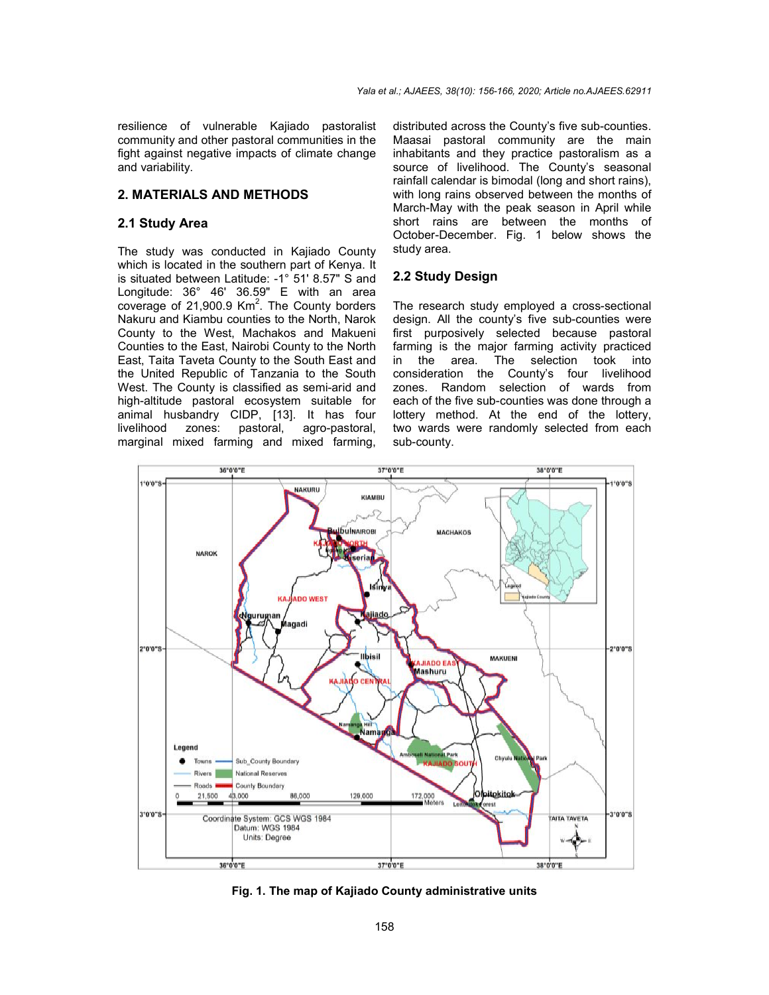resilience of vulnerable Kajiado pastoralist community and other pastoral communities in the fight against negative impacts of climate change and variability.

## **2. MATERIALS AND METHODS**

#### **2.1 Study Area**

The study was conducted in Kajiado County which is located in the southern part of Kenya. It is situated between Latitude: -1° 51' 8.57" S and Longitude: 36° 46' 36.59" E with an area coverage of 21,900.9  $\text{Km}^2$ . The County borders Nakuru and Kiambu counties to the North, Narok County to the West, Machakos and Makueni Counties to the East, Nairobi County to the North East, Taita Taveta County to the South East and the United Republic of Tanzania to the South West. The County is classified as semi-arid and high-altitude pastoral ecosystem suitable for animal husbandry CIDP, [13]. It has four agro-pastoral, marginal mixed farming and mixed farming,

distributed across the County's five sub-counties. Maasai pastoral community are the main inhabitants and they practice pastoralism as a source of livelihood. The County's seasonal rainfall calendar is bimodal (long and short rains), with long rains observed between the months of March-May with the peak season in April while short rains are between the months of October-December. Fig. 1 below shows the study area.

# **2.2 Study Design**

The research study employed a cross-sectional design. All the county's five sub-counties were first purposively selected because pastoral farming is the major farming activity practiced<br>in the area. The selection took into The selection took into consideration the County's four livelihood zones. Random selection of wards from each of the five sub-counties was done through a lottery method. At the end of the lottery, two wards were randomly selected from each sub-county.



**Fig. 1. The map of Kajiado County administrative units**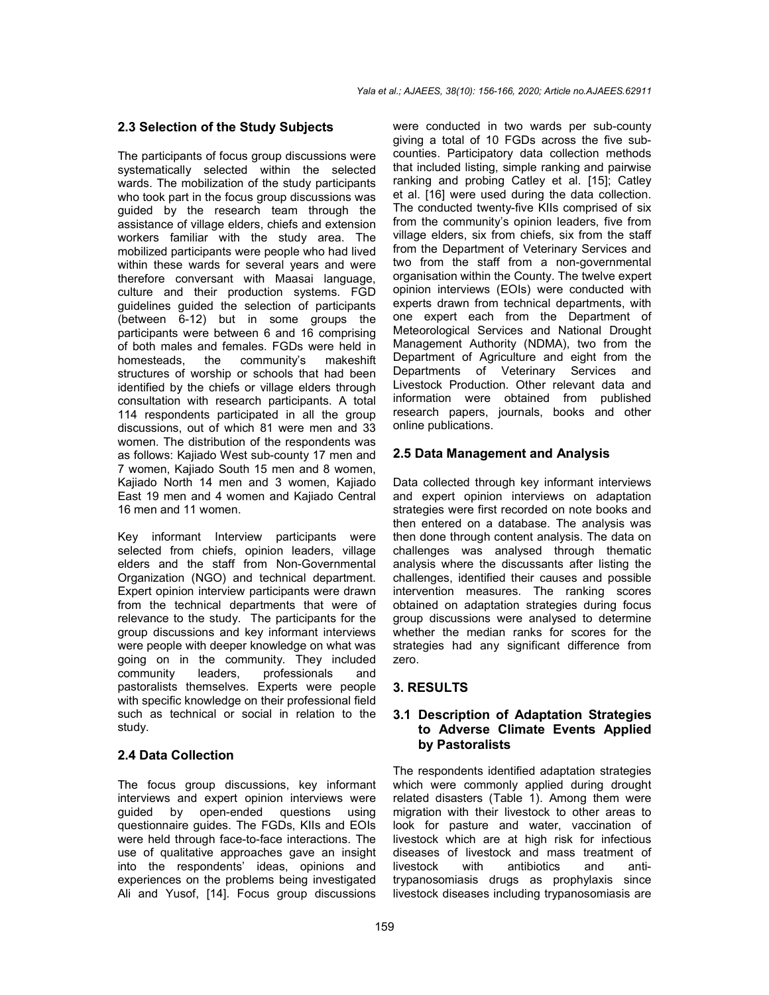## **2.3 Selection of the Study Subjects**

The participants of focus group discussions were systematically selected within the selected wards. The mobilization of the study participants who took part in the focus group discussions was guided by the research team through the assistance of village elders, chiefs and extension workers familiar with the study area. The mobilized participants were people who had lived within these wards for several years and were therefore conversant with Maasai language, culture and their production systems. FGD guidelines guided the selection of participants (between 6-12) but in some groups the participants were between 6 and 16 comprising of both males and females. FGDs were held in homesteads, the community's makeshift structures of worship or schools that had been identified by the chiefs or village elders through consultation with research participants. A total 114 respondents participated in all the group discussions, out of which 81 were men and 33 women. The distribution of the respondents was as follows: Kajiado West sub-county 17 men and 7 women, Kajiado South 15 men and 8 women, Kajiado North 14 men and 3 women, Kajiado East 19 men and 4 women and Kajiado Central 16 men and 11 women.

Key informant Interview participants were selected from chiefs, opinion leaders, village elders and the staff from Non-Governmental Organization (NGO) and technical department. Expert opinion interview participants were drawn from the technical departments that were of relevance to the study. The participants for the group discussions and key informant interviews were people with deeper knowledge on what was going on in the community. They included community leaders, professionals and pastoralists themselves. Experts were people with specific knowledge on their professional field such as technical or social in relation to the study.

## **2.4 Data Collection**

The focus group discussions, key informant interviews and expert opinion interviews were guided by open-ended questions using questionnaire guides. The FGDs, KIIs and EOIs were held through face-to-face interactions. The use of qualitative approaches gave an insight into the respondents' ideas, opinions and experiences on the problems being investigated Ali and Yusof, [14]. Focus group discussions were conducted in two wards per sub-county giving a total of 10 FGDs across the five subcounties. Participatory data collection methods that included listing, simple ranking and pairwise ranking and probing Catley et al. [15]; Catley et al. [16] were used during the data collection. The conducted twenty-five KIIs comprised of six from the community's opinion leaders, five from village elders, six from chiefs, six from the staff from the Department of Veterinary Services and two from the staff from a non-governmental organisation within the County. The twelve expert opinion interviews (EOIs) were conducted with experts drawn from technical departments, with one expert each from the Department of Meteorological Services and National Drought Management Authority (NDMA), two from the Department of Agriculture and eight from the Departments of Veterinary Services and Livestock Production. Other relevant data and information were obtained from published research papers, journals, books and other online publications.

# **2.5 Data Management and Analysis**

Data collected through key informant interviews and expert opinion interviews on adaptation strategies were first recorded on note books and then entered on a database. The analysis was then done through content analysis. The data on challenges was analysed through thematic analysis where the discussants after listing the challenges, identified their causes and possible intervention measures. The ranking scores obtained on adaptation strategies during focus group discussions were analysed to determine whether the median ranks for scores for the strategies had any significant difference from zero.

# **3. RESULTS**

## **3.1 Description of Adaptation Strategies to Adverse Climate Events Applied by Pastoralists**

The respondents identified adaptation strategies which were commonly applied during drought related disasters (Table 1). Among them were migration with their livestock to other areas to look for pasture and water, vaccination of livestock which are at high risk for infectious diseases of livestock and mass treatment of livestock with antibiotics and antitrypanosomiasis drugs as prophylaxis since livestock diseases including trypanosomiasis are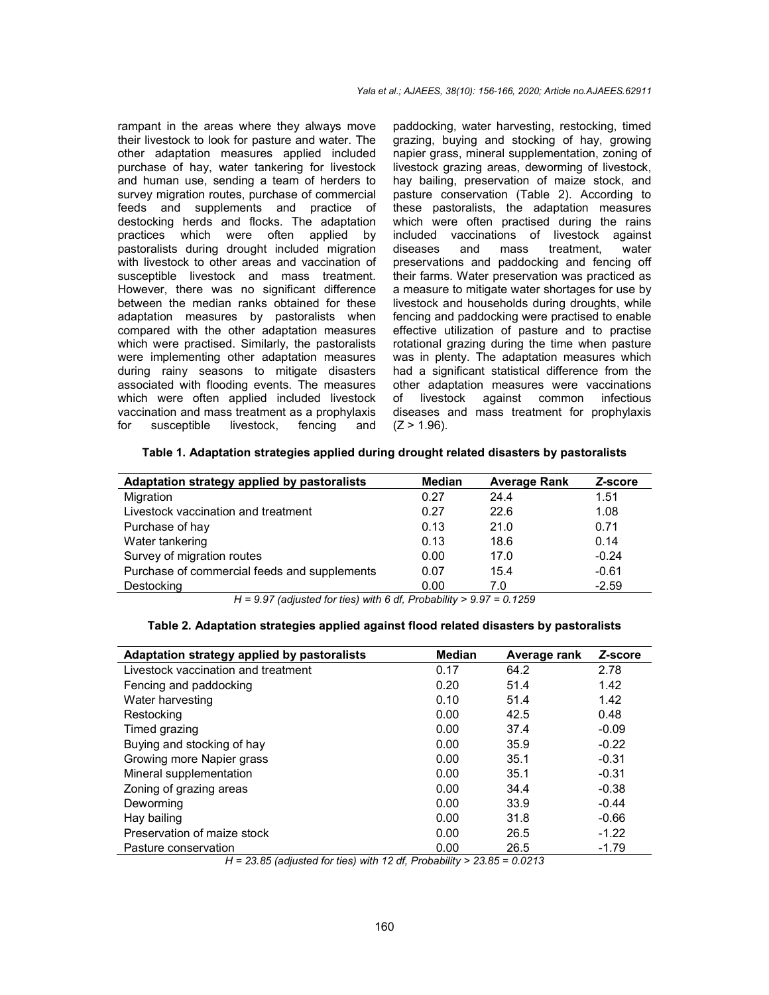rampant in the areas where they always move their livestock to look for pasture and water. The other adaptation measures applied included purchase of hay, water tankering for livestock and human use, sending a team of herders to survey migration routes, purchase of commercial feeds and supplements and practice of destocking herds and flocks. The adaptation practices which were often applied by pastoralists during drought included migration with livestock to other areas and vaccination of susceptible livestock and mass treatment. However, there was no significant difference between the median ranks obtained for these adaptation measures by pastoralists when compared with the other adaptation measures which were practised. Similarly, the pastoralists were implementing other adaptation measures during rainy seasons to mitigate disasters associated with flooding events. The measures which were often applied included livestock vaccination and mass treatment as a prophylaxis for susceptible livestock, fencing and

paddocking, water harvesting, restocking, timed grazing, buying and stocking of hay, growing napier grass, mineral supplementation, zoning of livestock grazing areas, deworming of livestock, hay bailing, preservation of maize stock, and pasture conservation (Table 2). According to these pastoralists, the adaptation measures which were often practised during the rains included vaccinations of livestock against diseases and mass treatment, water preservations and paddocking and fencing off their farms. Water preservation was practiced as a measure to mitigate water shortages for use by livestock and households during droughts, while fencing and paddocking were practised to enable effective utilization of pasture and to practise rotational grazing during the time when pasture was in plenty. The adaptation measures which had a significant statistical difference from the other adaptation measures were vaccinations of livestock against common infectious diseases and mass treatment for prophylaxis  $(Z > 1.96)$ .

| <b>Median</b> | <b>Average Rank</b>      | Z-score |
|---------------|--------------------------|---------|
| 0.27          | 24.4                     | 1.51    |
| 0.27          | 22.6                     | 1.08    |
| 0.13          | 21.0                     | 0.71    |
| 0.13          | 18.6                     | 0.14    |
| 0.00          | 17.0                     | $-0.24$ |
| 0.07          | 15.4                     | $-0.61$ |
| 0.00          | 7.0                      | $-2.59$ |
|               | $\overline{\phantom{a}}$ |         |

*H = 9.97 (adjusted for ties) with 6 df, Probability > 9.97 = 0.1259*

|  |  |  |  | Table 2. Adaptation strategies applied against flood related disasters by pastoralists |
|--|--|--|--|----------------------------------------------------------------------------------------|
|  |  |  |  |                                                                                        |

| Adaptation strategy applied by pastoralists | <b>Median</b> | Average rank | Z-score |
|---------------------------------------------|---------------|--------------|---------|
| Livestock vaccination and treatment         | 0.17          | 64.2         | 2.78    |
| Fencing and paddocking                      | 0.20          | 51.4         | 1.42    |
| Water harvesting                            | 0.10          | 51.4         | 1.42    |
| Restocking                                  | 0.00          | 42.5         | 0.48    |
| Timed grazing                               | 0.00          | 37.4         | $-0.09$ |
| Buying and stocking of hay                  | 0.00          | 35.9         | $-0.22$ |
| Growing more Napier grass                   | 0.00          | 35.1         | $-0.31$ |
| Mineral supplementation                     | 0.00          | 35.1         | $-0.31$ |
| Zoning of grazing areas                     | 0.00          | 34.4         | $-0.38$ |
| Deworming                                   | 0.00          | 33.9         | $-0.44$ |
| Hay bailing                                 | 0.00          | 31.8         | $-0.66$ |
| Preservation of maize stock                 | 0.00          | 26.5         | $-1.22$ |
| Pasture conservation                        | 0.00          | 26.5         | $-1.79$ |

*H = 23.85 (adjusted for ties) with 12 df, Probability > 23.85 = 0.0213*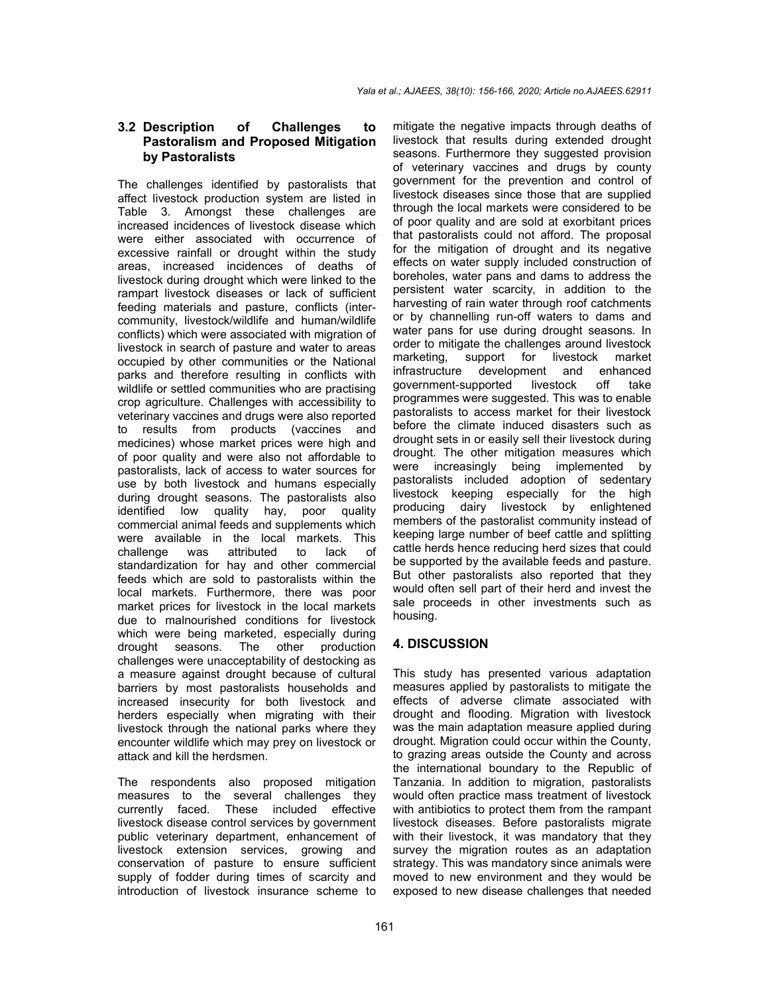## **3.2 Description of Challenges to Pastoralism and Proposed Mitigation by Pastoralists**

The challenges identified by pastoralists that affect livestock production system are listed in Table 3. Amongst these challenges are increased incidences of livestock disease which were either associated with occurrence of excessive rainfall or drought within the study areas, increased incidences of deaths of livestock during drought which were linked to the rampart livestock diseases or lack of sufficient feeding materials and pasture, conflicts (intercommunity, livestock/wildlife and human/wildlife conflicts) which were associated with migration of livestock in search of pasture and water to areas occupied by other communities or the National parks and therefore resulting in conflicts with wildlife or settled communities who are practising crop agriculture. Challenges with accessibility to veterinary vaccines and drugs were also reported to results from products (vaccines and medicines) whose market prices were high and of poor quality and were also not affordable to pastoralists, lack of access to water sources for use by both livestock and humans especially during drought seasons. The pastoralists also identified low quality hay, poor quality commercial animal feeds and supplements which were available in the local markets. This<br>challenge was attributed to lack of challenge was attributed to lack of standardization for hay and other commercial feeds which are sold to pastoralists within the local markets. Furthermore, there was poor market prices for livestock in the local markets due to malnourished conditions for livestock which were being marketed, especially during drought seasons. The other production challenges were unacceptability of destocking as a measure against drought because of cultural barriers by most pastoralists households and increased insecurity for both livestock and herders especially when migrating with their livestock through the national parks where they encounter wildlife which may prey on livestock or attack and kill the herdsmen.

The respondents also proposed mitigation measures to the several challenges they currently faced. These included effective livestock disease control services by government public veterinary department, enhancement of livestock extension services, growing and conservation of pasture to ensure sufficient supply of fodder during times of scarcity and introduction of livestock insurance scheme to

mitigate the negative impacts through deaths of livestock that results during extended drought seasons. Furthermore they suggested provision of veterinary vaccines and drugs by county government for the prevention and control of livestock diseases since those that are supplied through the local markets were considered to be of poor quality and are sold at exorbitant prices that pastoralists could not afford. The proposal for the mitigation of drought and its negative effects on water supply included construction of boreholes, water pans and dams to address the persistent water scarcity, in addition to the harvesting of rain water through roof catchments or by channelling run-off waters to dams and water pans for use during drought seasons. In order to mitigate the challenges around livestock marketing, support for livestock market infrastructure development and enhanced government-supported livestock off take programmes were suggested. This was to enable pastoralists to access market for their livestock before the climate induced disasters such as drought sets in or easily sell their livestock during drought. The other mitigation measures which were increasingly being implemented by pastoralists included adoption of sedentary livestock keeping especially for the high producing dairy livestock by enlightened members of the pastoralist community instead of keeping large number of beef cattle and splitting cattle herds hence reducing herd sizes that could be supported by the available feeds and pasture. But other pastoralists also reported that they would often sell part of their herd and invest the sale proceeds in other investments such as housing.

## **4. DISCUSSION**

This study has presented various adaptation measures applied by pastoralists to mitigate the effects of adverse climate associated with drought and flooding. Migration with livestock was the main adaptation measure applied during drought. Migration could occur within the County, to grazing areas outside the County and across the international boundary to the Republic of Tanzania. In addition to migration, pastoralists would often practice mass treatment of livestock with antibiotics to protect them from the rampant livestock diseases. Before pastoralists migrate with their livestock, it was mandatory that they survey the migration routes as an adaptation strategy. This was mandatory since animals were moved to new environment and they would be exposed to new disease challenges that needed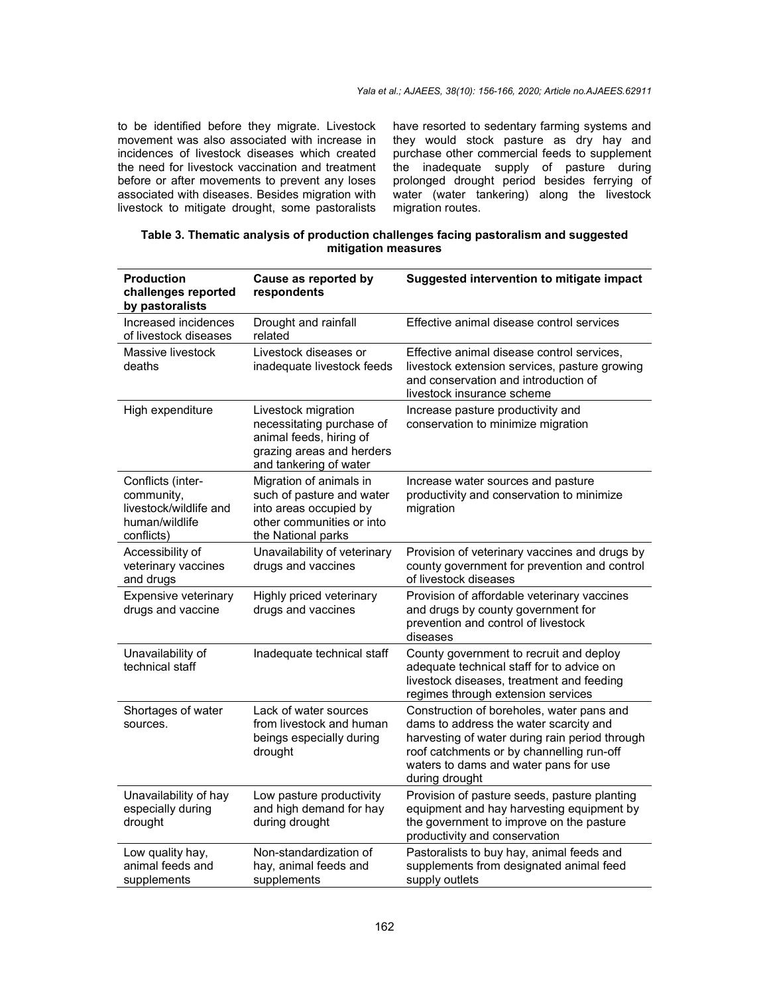to be identified before they migrate. Livestock movement was also associated with increase in incidences of livestock diseases which created the need for livestock vaccination and treatment before or after movements to prevent any loses associated with diseases. Besides migration with livestock to mitigate drought, some pastoralists

have resorted to sedentary farming systems and they would stock pasture as dry hay and purchase other commercial feeds to supplement the inadequate supply of pasture during prolonged drought period besides ferrying of water (water tankering) along the livestock migration routes.

| Table 3. Thematic analysis of production challenges facing pastoralism and suggested |  |  |  |
|--------------------------------------------------------------------------------------|--|--|--|
| mitigation measures                                                                  |  |  |  |

| <b>Production</b><br>challenges reported<br>by pastoralists                               | Cause as reported by<br>respondents                                                                                                | Suggested intervention to mitigate impact                                                                                                                                                                                                     |
|-------------------------------------------------------------------------------------------|------------------------------------------------------------------------------------------------------------------------------------|-----------------------------------------------------------------------------------------------------------------------------------------------------------------------------------------------------------------------------------------------|
| Increased incidences<br>of livestock diseases                                             | Drought and rainfall<br>related                                                                                                    | Effective animal disease control services                                                                                                                                                                                                     |
| Massive livestock<br>deaths                                                               | Livestock diseases or<br>inadequate livestock feeds                                                                                | Effective animal disease control services,<br>livestock extension services, pasture growing<br>and conservation and introduction of<br>livestock insurance scheme                                                                             |
| High expenditure                                                                          | Livestock migration<br>necessitating purchase of<br>animal feeds, hiring of<br>grazing areas and herders<br>and tankering of water | Increase pasture productivity and<br>conservation to minimize migration                                                                                                                                                                       |
| Conflicts (inter-<br>community,<br>livestock/wildlife and<br>human/wildlife<br>conflicts) | Migration of animals in<br>such of pasture and water<br>into areas occupied by<br>other communities or into<br>the National parks  | Increase water sources and pasture<br>productivity and conservation to minimize<br>migration                                                                                                                                                  |
| Accessibility of<br>veterinary vaccines<br>and drugs                                      | Unavailability of veterinary<br>drugs and vaccines                                                                                 | Provision of veterinary vaccines and drugs by<br>county government for prevention and control<br>of livestock diseases                                                                                                                        |
| Expensive veterinary<br>drugs and vaccine                                                 | Highly priced veterinary<br>drugs and vaccines                                                                                     | Provision of affordable veterinary vaccines<br>and drugs by county government for<br>prevention and control of livestock<br>diseases                                                                                                          |
| Unavailability of<br>technical staff                                                      | Inadequate technical staff                                                                                                         | County government to recruit and deploy<br>adequate technical staff for to advice on<br>livestock diseases, treatment and feeding<br>regimes through extension services                                                                       |
| Shortages of water<br>sources.                                                            | Lack of water sources<br>from livestock and human<br>beings especially during<br>drought                                           | Construction of boreholes, water pans and<br>dams to address the water scarcity and<br>harvesting of water during rain period through<br>roof catchments or by channelling run-off<br>waters to dams and water pans for use<br>during drought |
| Unavailability of hay<br>especially during<br>drought                                     | Low pasture productivity<br>and high demand for hay<br>during drought                                                              | Provision of pasture seeds, pasture planting<br>equipment and hay harvesting equipment by<br>the government to improve on the pasture<br>productivity and conservation                                                                        |
| Low quality hay,<br>animal feeds and<br>supplements                                       | Non-standardization of<br>hay, animal feeds and<br>supplements                                                                     | Pastoralists to buy hay, animal feeds and<br>supplements from designated animal feed<br>supply outlets                                                                                                                                        |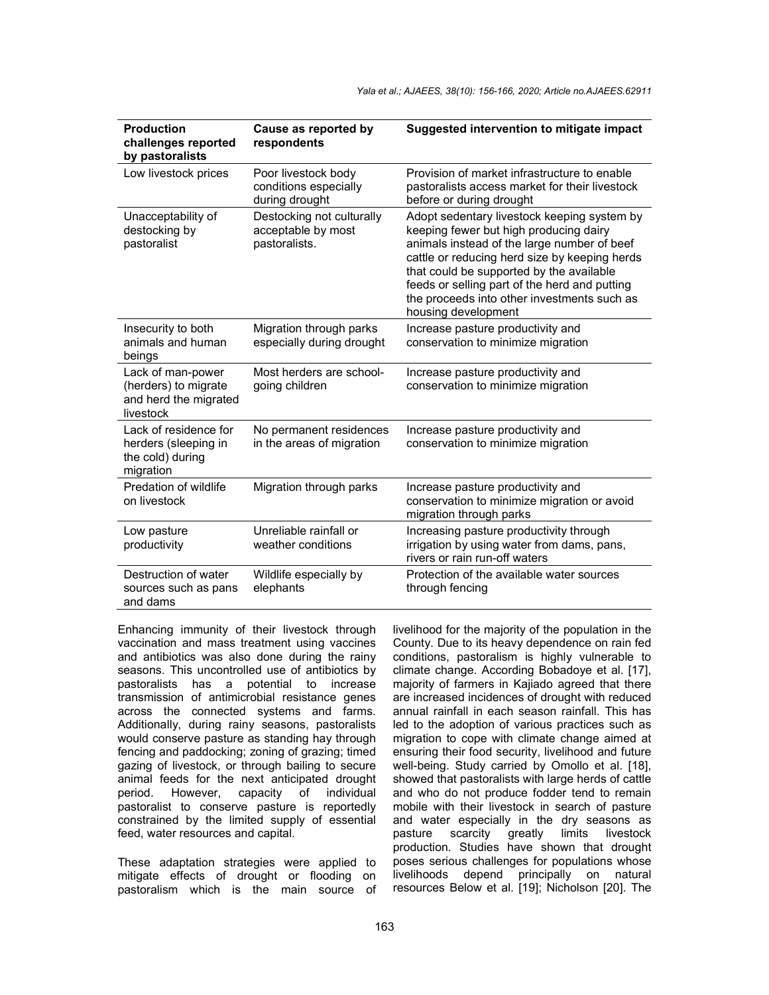| <b>Production</b><br>challenges reported<br>by pastoralists                     | Cause as reported by<br>respondents                              | Suggested intervention to mitigate impact                                                                                                                                                                                                                                                                                                                |
|---------------------------------------------------------------------------------|------------------------------------------------------------------|----------------------------------------------------------------------------------------------------------------------------------------------------------------------------------------------------------------------------------------------------------------------------------------------------------------------------------------------------------|
| Low livestock prices                                                            | Poor livestock body<br>conditions especially<br>during drought   | Provision of market infrastructure to enable<br>pastoralists access market for their livestock<br>before or during drought                                                                                                                                                                                                                               |
| Unacceptability of<br>destocking by<br>pastoralist                              | Destocking not culturally<br>acceptable by most<br>pastoralists. | Adopt sedentary livestock keeping system by<br>keeping fewer but high producing dairy<br>animals instead of the large number of beef<br>cattle or reducing herd size by keeping herds<br>that could be supported by the available<br>feeds or selling part of the herd and putting<br>the proceeds into other investments such as<br>housing development |
| Insecurity to both<br>animals and human<br>beings                               | Migration through parks<br>especially during drought             | Increase pasture productivity and<br>conservation to minimize migration                                                                                                                                                                                                                                                                                  |
| Lack of man-power<br>(herders) to migrate<br>and herd the migrated<br>livestock | Most herders are school-<br>going children                       | Increase pasture productivity and<br>conservation to minimize migration                                                                                                                                                                                                                                                                                  |
| Lack of residence for<br>herders (sleeping in<br>the cold) during<br>migration  | No permanent residences<br>in the areas of migration             | Increase pasture productivity and<br>conservation to minimize migration                                                                                                                                                                                                                                                                                  |
| Predation of wildlife<br>on livestock                                           | Migration through parks                                          | Increase pasture productivity and<br>conservation to minimize migration or avoid<br>migration through parks                                                                                                                                                                                                                                              |
| Low pasture<br>productivity                                                     | Unreliable rainfall or<br>weather conditions                     | Increasing pasture productivity through<br>irrigation by using water from dams, pans,<br>rivers or rain run-off waters                                                                                                                                                                                                                                   |
| Destruction of water<br>sources such as pans<br>and dams                        | Wildlife especially by<br>elephants                              | Protection of the available water sources<br>through fencing                                                                                                                                                                                                                                                                                             |

Enhancing immunity of their livestock through vaccination and mass treatment using vaccines and antibiotics was also done during the rainy seasons. This uncontrolled use of antibiotics by pastoralists has a potential to increase transmission of antimicrobial resistance genes across the connected systems and farms. Additionally, during rainy seasons, pastoralists would conserve pasture as standing hay through fencing and paddocking; zoning of grazing; timed gazing of livestock, or through bailing to secure animal feeds for the next anticipated drought period. However, capacity of individual pastoralist to conserve pasture is reportedly constrained by the limited supply of essential feed, water resources and capital.

These adaptation strategies were applied to mitigate effects of drought or flooding on pastoralism which is the main source of livelihood for the majority of the population in the County. Due to its heavy dependence on rain fed conditions, pastoralism is highly vulnerable to climate change. According Bobadoye et al. [17], majority of farmers in Kajiado agreed that there are increased incidences of drought with reduced annual rainfall in each season rainfall. This has led to the adoption of various practices such as migration to cope with climate change aimed at ensuring their food security, livelihood and future well-being. Study carried by Omollo et al. [18], showed that pastoralists with large herds of cattle and who do not produce fodder tend to remain mobile with their livestock in search of pasture and water especially in the dry seasons as pasture scarcity greatly limits livestock production. Studies have shown that drought poses serious challenges for populations whose livelihoods depend principally on natural resources Below et al. [19]; Nicholson [20]. The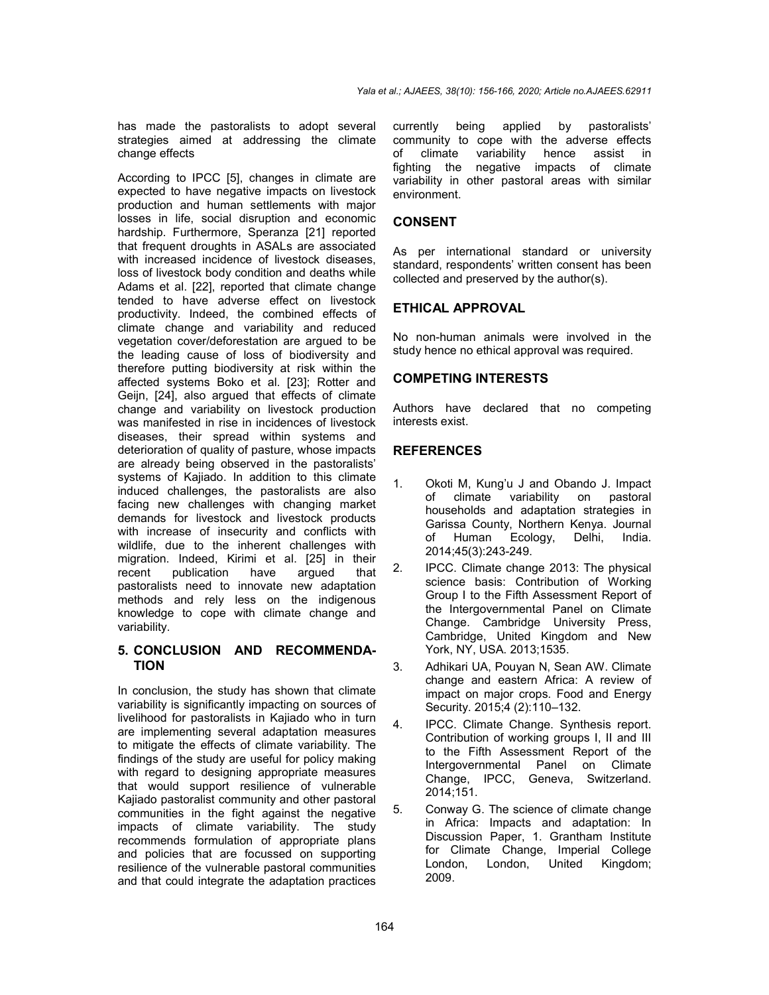has made the pastoralists to adopt several strategies aimed at addressing the climate change effects

According to IPCC [5], changes in climate are expected to have negative impacts on livestock production and human settlements with major losses in life, social disruption and economic hardship. Furthermore, Speranza [21] reported that frequent droughts in ASALs are associated with increased incidence of livestock diseases. loss of livestock body condition and deaths while Adams et al. [22], reported that climate change tended to have adverse effect on livestock productivity. Indeed, the combined effects of climate change and variability and reduced vegetation cover/deforestation are argued to be the leading cause of loss of biodiversity and therefore putting biodiversity at risk within the affected systems Boko et al. [23]; Rotter and Geijn, [24], also argued that effects of climate change and variability on livestock production was manifested in rise in incidences of livestock diseases, their spread within systems and deterioration of quality of pasture, whose impacts are already being observed in the pastoralists' systems of Kajiado. In addition to this climate induced challenges, the pastoralists are also facing new challenges with changing market demands for livestock and livestock products with increase of insecurity and conflicts with wildlife, due to the inherent challenges with migration. Indeed, Kirimi et al. [25] in their recent publication have argued that pastoralists need to innovate new adaptation methods and rely less on the indigenous knowledge to cope with climate change and variability.

## **5. CONCLUSION AND RECOMMENDA-TION**

In conclusion, the study has shown that climate variability is significantly impacting on sources of livelihood for pastoralists in Kajiado who in turn are implementing several adaptation measures to mitigate the effects of climate variability. The findings of the study are useful for policy making with regard to designing appropriate measures that would support resilience of vulnerable Kajiado pastoralist community and other pastoral communities in the fight against the negative impacts of climate variability. The study recommends formulation of appropriate plans and policies that are focussed on supporting resilience of the vulnerable pastoral communities and that could integrate the adaptation practices

currently being applied by pastoralists' community to cope with the adverse effects of climate variability hence assist in fighting the negative impacts of climate variability in other pastoral areas with similar environment.

## **CONSENT**

As per international standard or university standard, respondents' written consent has been collected and preserved by the author(s).

## **ETHICAL APPROVAL**

No non-human animals were involved in the study hence no ethical approval was required.

## **COMPETING INTERESTS**

Authors have declared that no competing interests exist.

## **REFERENCES**

- 1. Okoti M, Kung'u J and Obando J. Impact of climate variability on pastoral households and adaptation strategies in Garissa County, Northern Kenya. Journal of Human Ecology, Delhi, India. 2014;45(3):243-249.
- 2. IPCC. Climate change 2013: The physical science basis: Contribution of Working Group I to the Fifth Assessment Report of the Intergovernmental Panel on Climate Change. Cambridge University Press, Cambridge, United Kingdom and New York, NY, USA. 2013;1535.
- 3. Adhikari UA, Pouyan N, Sean AW. Climate change and eastern Africa: A review of impact on major crops. Food and Energy Security. 2015;4 (2):110–132.
- 4. IPCC. Climate Change. Synthesis report. Contribution of working groups I, II and III to the Fifth Assessment Report of the Intergovernmental Panel on Climate Change, IPCC, Geneva, Switzerland. 2014;151.
- 5. Conway G. The science of climate change in Africa: Impacts and adaptation: In Discussion Paper, 1. Grantham Institute for Climate Change, Imperial College London, London, United Kingdom; 2009.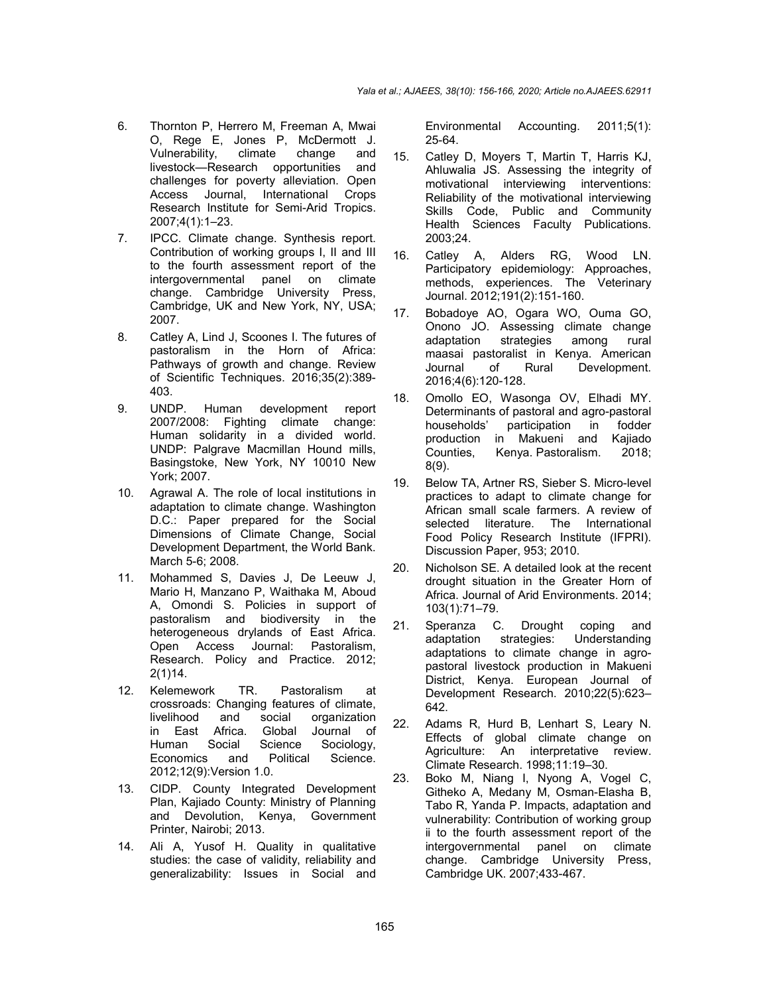- 6. Thornton P, Herrero M, Freeman A, Mwai O, Rege E, Jones P, McDermott J. Vulnerability, climate change and livestock—Research opportunities and challenges for poverty alleviation. Open Access Journal, International Crops Research Institute for Semi-Arid Tropics. 2007;4(1):1–23.
- 7. IPCC. Climate change. Synthesis report. Contribution of working groups I, II and III to the fourth assessment report of the intergovernmental panel on climate change. Cambridge University Press, Cambridge, UK and New York, NY, USA; 2007.
- 8. Catley A, Lind J, Scoones I. The futures of pastoralism in the Horn of Africa: Pathways of growth and change. Review of Scientific Techniques. 2016;35(2):389- 403.
- 9. UNDP. Human development report 2007/2008: Fighting climate change: Human solidarity in a divided world. UNDP: Palgrave Macmillan Hound mills, Basingstoke, New York, NY 10010 New York; 2007.
- 10. Agrawal A. The role of local institutions in adaptation to climate change. Washington D.C.: Paper prepared for the Social Dimensions of Climate Change, Social Development Department, the World Bank. March 5-6; 2008.
- 11. Mohammed S, Davies J, De Leeuw J, Mario H, Manzano P, Waithaka M, Aboud A, Omondi S. Policies in support of pastoralism and biodiversity in the heterogeneous drylands of East Africa. Open Access Journal: Pastoralism, Research. Policy and Practice. 2012; 2(1)14.
- 12. Kelemework TR. Pastoralism at crossroads: Changing features of climate,<br>livelihood and social organization organization in East Africa. Global Journal of<br>Human Social Science Sociology, Sociology, Economics and Political Science. 2012;12(9):Version 1.0.
- 13. CIDP. County Integrated Development Plan, Kajiado County: Ministry of Planning and Devolution, Kenya, Government Printer, Nairobi; 2013.
- 14. Ali A, Yusof H. Quality in qualitative studies: the case of validity, reliability and generalizability: Issues in Social and

Environmental Accounting. 2011;5(1): 25-64.

- 15. Catley D, Moyers T, Martin T, Harris KJ, Ahluwalia JS. Assessing the integrity of motivational interviewing interventions: Reliability of the motivational interviewing Skills Code, Public and Community Health Sciences Faculty Publications. 2003;24.
- 16. Catley A, Alders RG, Wood LN. Participatory epidemiology: Approaches, methods, experiences. The Veterinary Journal. 2012;191(2):151-160.
- 17. Bobadoye AO, Ogara WO, Ouma GO, Onono JO. Assessing climate change adaptation strategies among rural maasai pastoralist in Kenya. American Journal of Rural Development. 2016;4(6):120-128.
- 18. Omollo EO, Wasonga OV, Elhadi MY. Determinants of pastoral and agro-pastoral households' participation in fodder production in Makueni and Kajiado Counties, Kenya. Pastoralism. 2018; 8(9).
- 19. Below TA, Artner RS, Sieber S. Micro-level practices to adapt to climate change for African small scale farmers. A review of selected literature. The International Food Policy Research Institute (IFPRI). Discussion Paper, 953; 2010.
- 20. Nicholson SE. A detailed look at the recent drought situation in the Greater Horn of Africa. Journal of Arid Environments. 2014; 103(1):71–79.
- 21. Speranza C. Drought coping and adaptation strategies: Understanding adaptations to climate change in agropastoral livestock production in Makueni District, Kenya. European Journal of Development Research. 2010;22(5):623– 642.
- 22. Adams R, Hurd B, Lenhart S, Leary N. Effects of global climate change on Agriculture: An interpretative review. Climate Research. 1998;11:19–30.
- 23. Boko M, Niang I, Nyong A, Vogel C, Githeko A, Medany M, Osman-Elasha B, Tabo R, Yanda P. Impacts, adaptation and vulnerability: Contribution of working group ii to the fourth assessment report of the intergovernmental panel on climate change. Cambridge University Press, Cambridge UK. 2007;433-467.